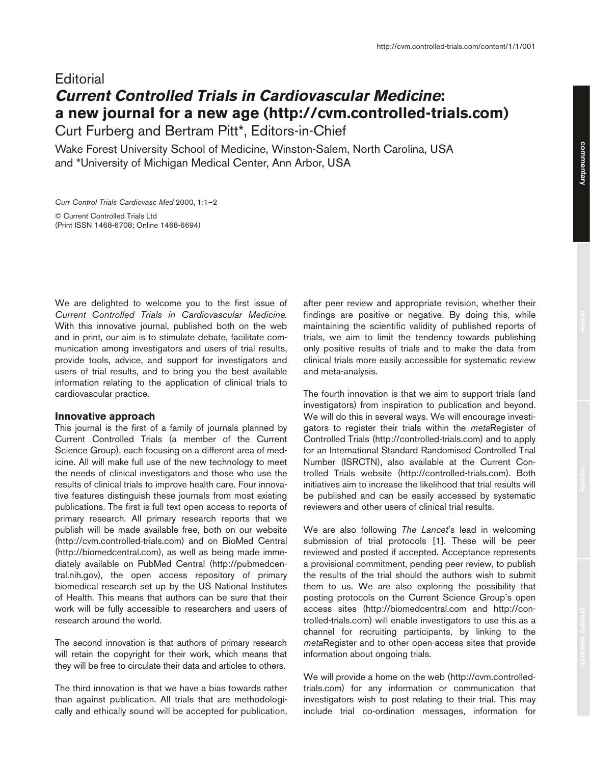# **Editorial Current Controlled Trials in Cardiovascular Medicine: a new journal for a new age (http://cvm.controlled-trials.com)**

Curt Furberg and Bertram Pitt\*, Editors-in-Chief

Wake Forest University School of Medicine, Winston-Salem, North Carolina, USA and \*University of Michigan Medical Center, Ann Arbor, USA

*Curr Control Trials Cardiovasc Med* 2000, **1**:1–2

© Current Controlled Trials Ltd (Print ISSN 1468-6708; Online 1468-6694)

We are delighted to welcome you to the first issue of *Current Controlled Trials in Cardiovascular Medicine.* With this innovative journal, published both on the web and in print, our aim is to stimulate debate, facilitate communication among investigators and users of trial results, provide tools, advice, and support for investigators and users of trial results, and to bring you the best available information relating to the application of clinical trials to cardiovascular practice.

### **Innovative approach**

This journal is the first of a family of journals planned by Current Controlled Trials (a member of the Current Science Group), each focusing on a different area of medicine. All will make full use of the new technology to meet the needs of clinical investigators and those who use the results of clinical trials to improve health care. Four innovative features distinguish these journals from most existing publications. The first is full text open access to reports of primary research. All primary research reports that we publish will be made available free, both on our website (http://cvm.controlled-trials.com) and on BioMed Central (http://biomedcentral.com), as well as being made immediately available on PubMed Central (http://pubmedcentral.nih.gov), the open access repository of primary biomedical research set up by the US National Institutes of Health. This means that authors can be sure that their work will be fully accessible to researchers and users of research around the world.

The second innovation is that authors of primary research will retain the copyright for their work, which means that they will be free to circulate their data and articles to others.

The third innovation is that we have a bias towards rather than against publication. All trials that are methodologically and ethically sound will be accepted for publication,

after peer review and appropriate revision, whether their findings are positive or negative. By doing this, while maintaining the scientific validity of published reports of trials, we aim to limit the tendency towards publishing only positive results of trials and to make the data from clinical trials more easily accessible for systematic review and meta-analysis.

The fourth innovation is that we aim to support trials (and investigators) from inspiration to publication and beyond. We will do this in several ways. We will encourage investigators to register their trials within the *meta*Register of Controlled Trials (http://controlled-trials.com) and to apply for an International Standard Randomised Controlled Trial Number (ISRCTN), also available at the Current Controlled Trials website (http://controlled-trials.com). Both initiatives aim to increase the likelihood that trial results will be published and can be easily accessed by systematic reviewers and other users of clinical trial results.

We are also following *The Lancet*'s lead in welcoming submission of trial protocols [1]. These will be peer reviewed and posted if accepted. Acceptance represents a provisional commitment, pending peer review, to publish the results of the trial should the authors wish to submit them to us. We are also exploring the possibility that posting protocols on the Current Science Group's open access sites (http://biomedcentral.com and http://controlled-trials.com) will enable investigators to use this as a channel for recruiting participants, by linking to the *meta*Register and to other open-access sites that provide information about ongoing trials.

We will provide a home on the web (http://cvm.controlledtrials.com) for any information or communication that investigators wish to post relating to their trial. This may include trial co-ordination messages, information for